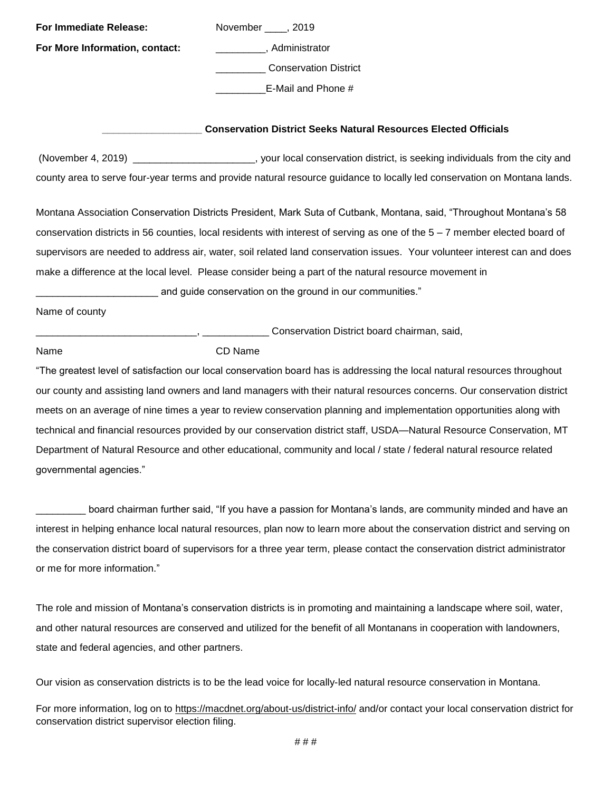| For Immediate Release:         | November _____, 2019                                                                                                        |
|--------------------------------|-----------------------------------------------------------------------------------------------------------------------------|
| For More Information, contact: | ____________, Administrator                                                                                                 |
|                                | <b>Conservation District</b>                                                                                                |
|                                | E-Mail and Phone #                                                                                                          |
|                                |                                                                                                                             |
|                                | <b>Conservation District Seeks Natural Resources Elected Officials</b>                                                      |
|                                | (November 4, 2019) ___________________________, your local conservation district, is seeking individuals from the city and  |
|                                | county area to serve four-year terms and provide natural resource guidance to locally led conservation on Montana lands.    |
|                                | Montana Association Conservation Districts President, Mark Suta of Cutbank, Montana, said, "Throughout Montana's 58         |
|                                | conservation districts in 56 counties, local residents with interest of serving as one of the 5 - 7 member elected board of |
|                                | supervisors are needed to address air, water, soil related land conservation issues. Your volunteer interest can and does   |
|                                | make a difference at the local level. Please consider being a part of the natural resource movement in                      |
|                                | and guide conservation on the ground in our communities."                                                                   |
| Name of county                 |                                                                                                                             |
|                                | Conservation District board chairman, said,                                                                                 |
| Name                           | CD Name                                                                                                                     |
|                                | "The greatest level of satisfaction our local conservation board has is addressing the local natural resources throughout   |
|                                | our county and assisting land owners and land managers with their natural resources concerns. Our conservation district     |
|                                | meets on an average of nine times a year to review conservation planning and implementation opportunities along with        |
|                                | technical and financial resources provided by our conservation district staff, USDA-Natural Resource Conservation, MT       |
|                                | Department of Natural Resource and other educational, community and local / state / federal natural resource related        |

governmental agencies."

board chairman further said, "If you have a passion for Montana's lands, are community minded and have an interest in helping enhance local natural resources, plan now to learn more about the conservation district and serving on the conservation district board of supervisors for a three year term, please contact the conservation district administrator or me for more information."

The role and mission of Montana's conservation districts is in promoting and maintaining a landscape where soil, water, and other natural resources are conserved and utilized for the benefit of all Montanans in cooperation with landowners, state and federal agencies, and other partners.

Our vision as conservation districts is to be the lead voice for locally-led natural resource conservation in Montana.

For more information, log on to<https://macdnet.org/about-us/district-info/> and/or contact your local conservation district for conservation district supervisor election filing.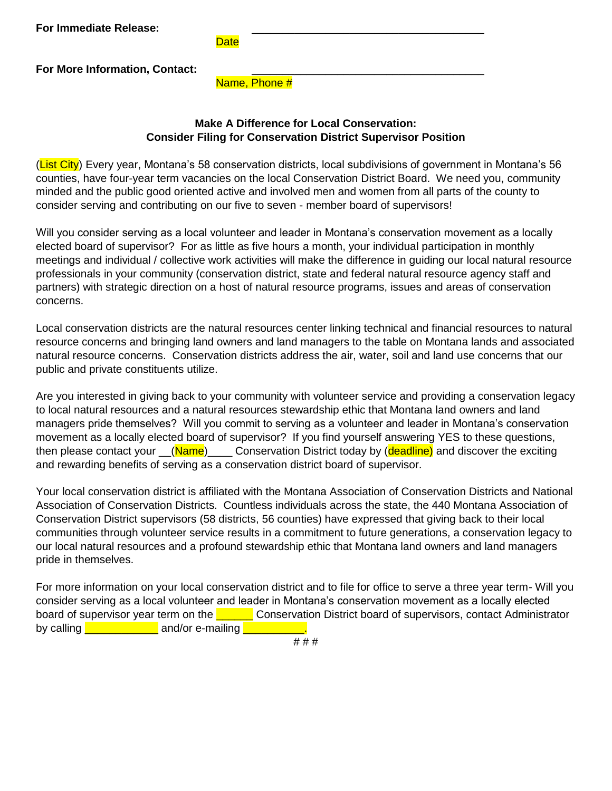**For Immediate Release:** 

**Date** 

**For More Information, Contact:** 

Name, Phone #

## **Make A Difference for Local Conservation: Consider Filing for Conservation District Supervisor Position**

(List City) Every year, Montana's 58 conservation districts, local subdivisions of government in Montana's 56 counties, have four-year term vacancies on the local Conservation District Board. We need you, community minded and the public good oriented active and involved men and women from all parts of the county to consider serving and contributing on our five to seven - member board of supervisors!

Will you consider serving as a local volunteer and leader in Montana's conservation movement as a locally elected board of supervisor? For as little as five hours a month, your individual participation in monthly meetings and individual / collective work activities will make the difference in guiding our local natural resource professionals in your community (conservation district, state and federal natural resource agency staff and partners) with strategic direction on a host of natural resource programs, issues and areas of conservation concerns.

Local conservation districts are the natural resources center linking technical and financial resources to natural resource concerns and bringing land owners and land managers to the table on Montana lands and associated natural resource concerns. Conservation districts address the air, water, soil and land use concerns that our public and private constituents utilize.

Are you interested in giving back to your community with volunteer service and providing a conservation legacy to local natural resources and a natural resources stewardship ethic that Montana land owners and land managers pride themselves? Will you commit to serving as a volunteer and leader in Montana's conservation movement as a locally elected board of supervisor? If you find yourself answering YES to these questions, then please contact your (Name) Conservation District today by (deadline) and discover the exciting and rewarding benefits of serving as a conservation district board of supervisor.

Your local conservation district is affiliated with the Montana Association of Conservation Districts and National Association of Conservation Districts. Countless individuals across the state, the 440 Montana Association of Conservation District supervisors (58 districts, 56 counties) have expressed that giving back to their local communities through volunteer service results in a commitment to future generations, a conservation legacy to our local natural resources and a profound stewardship ethic that Montana land owners and land managers pride in themselves.

For more information on your local conservation district and to file for office to serve a three year term- Will you consider serving as a local volunteer and leader in Montana's conservation movement as a locally elected board of supervisor year term on the **Lang Conservation District board of supervisors**, contact Administrator by calling **Letting** and/or e-mailing **L**